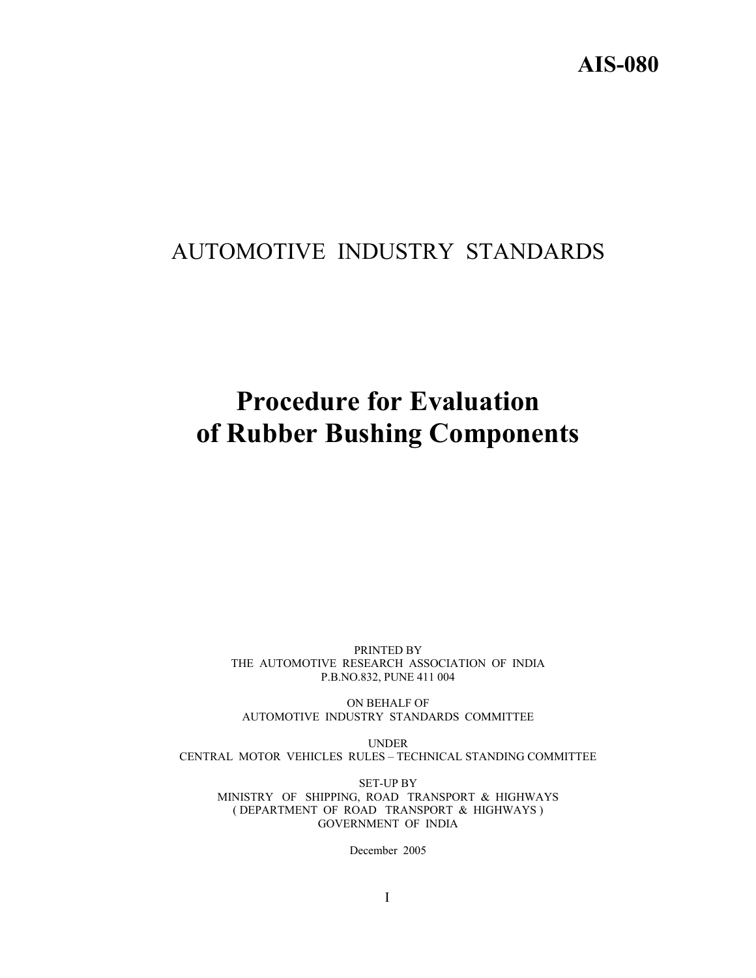# AUTOMOTIVE INDUSTRY STANDARDS

# **Procedure for Evaluation of Rubber Bushing Components**

PRINTED BY THE AUTOMOTIVE RESEARCH ASSOCIATION OF INDIA P.B.NO.832, PUNE 411 004

ON BEHALF OF AUTOMOTIVE INDUSTRY STANDARDS COMMITTEE

UNDER CENTRAL MOTOR VEHICLES RULES – TECHNICAL STANDING COMMITTEE

SET-UP BY MINISTRY OF SHIPPING, ROAD TRANSPORT & HIGHWAYS ( DEPARTMENT OF ROAD TRANSPORT & HIGHWAYS ) GOVERNMENT OF INDIA

December 2005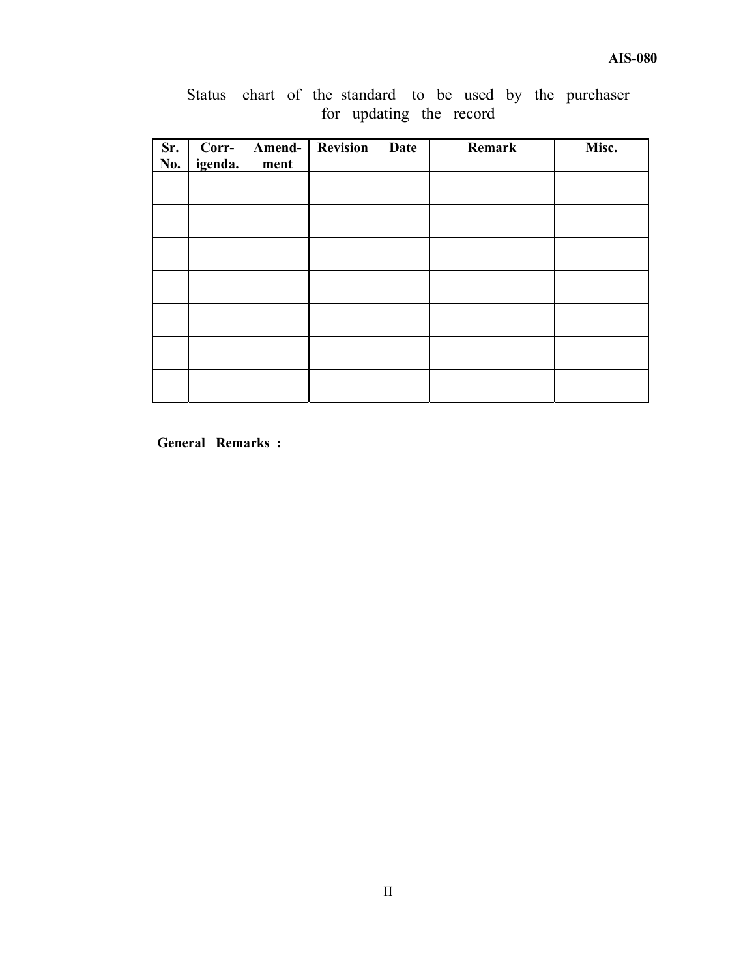| Sr.<br>No. | Corr-<br>igenda. | Amend-<br>ment | <b>Revision</b> | <b>Date</b> | Remark | Misc. |
|------------|------------------|----------------|-----------------|-------------|--------|-------|
|            |                  |                |                 |             |        |       |
|            |                  |                |                 |             |        |       |
|            |                  |                |                 |             |        |       |
|            |                  |                |                 |             |        |       |
|            |                  |                |                 |             |        |       |
|            |                  |                |                 |             |        |       |
|            |                  |                |                 |             |        |       |

Status chart of the standard to be used by the purchaser for updating the record

**General Remarks :**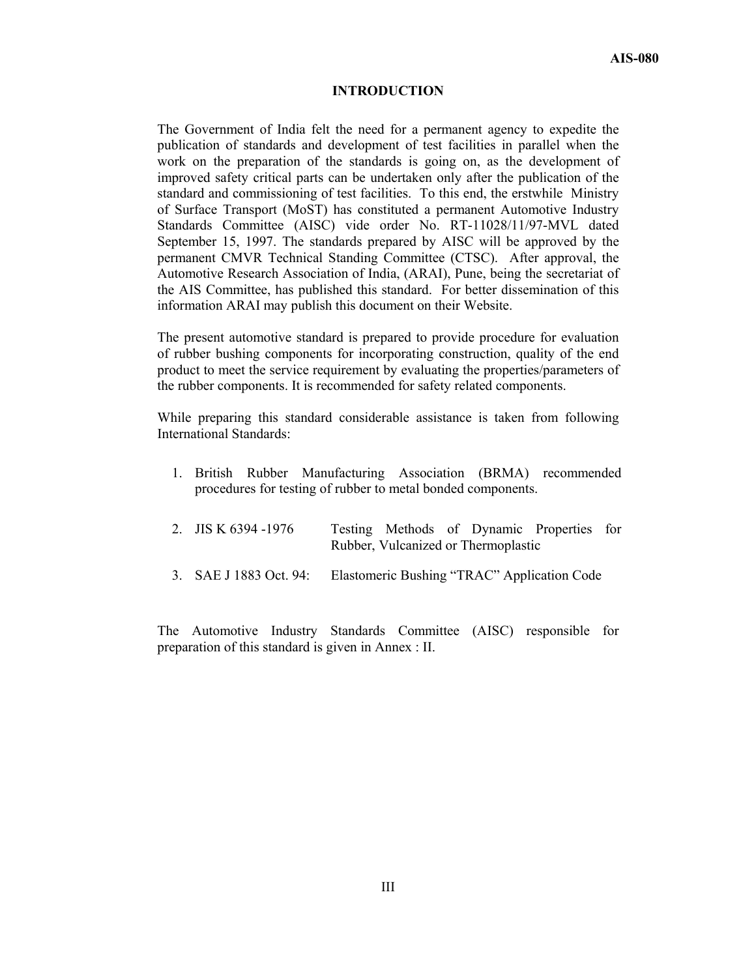#### **INTRODUCTION**

The Government of India felt the need for a permanent agency to expedite the publication of standards and development of test facilities in parallel when the work on the preparation of the standards is going on, as the development of improved safety critical parts can be undertaken only after the publication of the standard and commissioning of test facilities. To this end, the erstwhile Ministry of Surface Transport (MoST) has constituted a permanent Automotive Industry Standards Committee (AISC) vide order No. RT-11028/11/97-MVL dated September 15, 1997. The standards prepared by AISC will be approved by the permanent CMVR Technical Standing Committee (CTSC). After approval, the Automotive Research Association of India, (ARAI), Pune, being the secretariat of the AIS Committee, has published this standard. For better dissemination of this information ARAI may publish this document on their Website.

The present automotive standard is prepared to provide procedure for evaluation of rubber bushing components for incorporating construction, quality of the end product to meet the service requirement by evaluating the properties/parameters of the rubber components. It is recommended for safety related components.

While preparing this standard considerable assistance is taken from following International Standards:

1. British Rubber Manufacturing Association (BRMA) recommended procedures for testing of rubber to metal bonded components.

| 2. JIS K $6394 - 1976$ | Testing Methods of Dynamic Properties for<br>Rubber, Vulcanized or Thermoplastic |  |
|------------------------|----------------------------------------------------------------------------------|--|
| 3. SAE J 1883 Oct. 94: | Elastomeric Bushing "TRAC" Application Code                                      |  |

The Automotive Industry Standards Committee (AISC) responsible for preparation of this standard is given in Annex : II.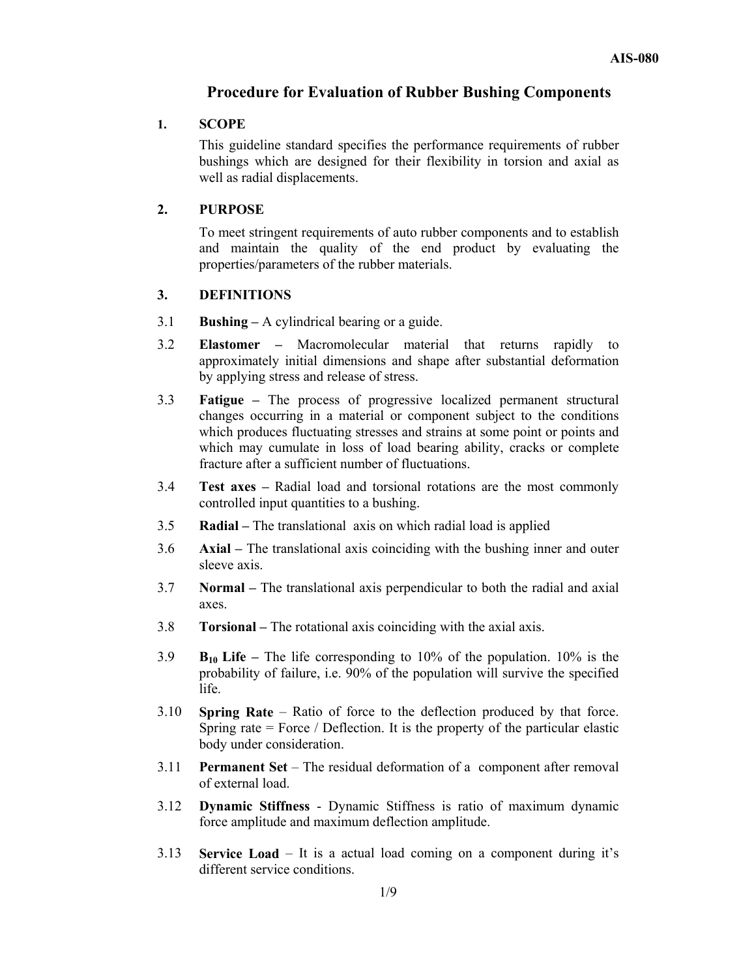# **Procedure for Evaluation of Rubber Bushing Components**

#### **1. SCOPE**

This guideline standard specifies the performance requirements of rubber bushings which are designed for their flexibility in torsion and axial as well as radial displacements.

#### **2. PURPOSE**

To meet stringent requirements of auto rubber components and to establish and maintain the quality of the end product by evaluating the properties/parameters of the rubber materials.

#### **3. DEFINITIONS**

- 3.1 **Bushing –** A cylindrical bearing or a guide.
- 3.2 **Elastomer –** Macromolecular material that returns rapidly to approximately initial dimensions and shape after substantial deformation by applying stress and release of stress.
- 3.3 **Fatigue –** The process of progressive localized permanent structural changes occurring in a material or component subject to the conditions which produces fluctuating stresses and strains at some point or points and which may cumulate in loss of load bearing ability, cracks or complete fracture after a sufficient number of fluctuations.
- 3.4 **Test axes –** Radial load and torsional rotations are the most commonly controlled input quantities to a bushing.
- 3.5 **Radial –** The translational axis on which radial load is applied
- 3.6 **Axial –** The translational axis coinciding with the bushing inner and outer sleeve axis.
- 3.7 **Normal –** The translational axis perpendicular to both the radial and axial axes.
- 3.8 **Torsional** The rotational axis coinciding with the axial axis.
- 3.9 **B10 Life –** The life corresponding to 10% of the population. 10% is the probability of failure, i.e. 90% of the population will survive the specified life.
- 3.10 **Spring Rate** Ratio of force to the deflection produced by that force. Spring rate = Force / Deflection. It is the property of the particular elastic body under consideration.
- 3.11 **Permanent Set** The residual deformation of a component after removal of external load.
- 3.12 **Dynamic Stiffness** Dynamic Stiffness is ratio of maximum dynamic force amplitude and maximum deflection amplitude.
- 3.13 **Service Load** It is a actual load coming on a component during it's different service conditions.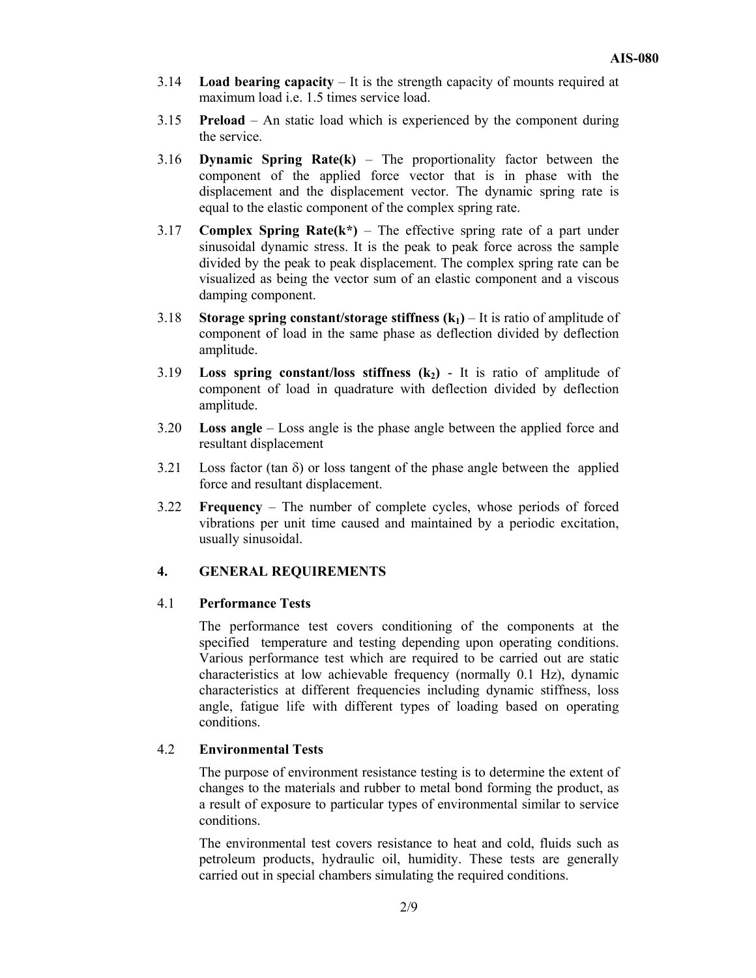- 3.14 **Load bearing capacity** It is the strength capacity of mounts required at maximum load i.e. 1.5 times service load.
- 3.15 **Preload** An static load which is experienced by the component during the service.
- 3.16 **Dynamic Spring Rate(k)** The proportionality factor between the component of the applied force vector that is in phase with the displacement and the displacement vector. The dynamic spring rate is equal to the elastic component of the complex spring rate.
- 3.17 **Complex Spring Rate(k\*)** The effective spring rate of a part under sinusoidal dynamic stress. It is the peak to peak force across the sample divided by the peak to peak displacement. The complex spring rate can be visualized as being the vector sum of an elastic component and a viscous damping component.
- 3.18 **Storage spring constant/storage stiffness**  $(k_1)$  **It is ratio of amplitude of** component of load in the same phase as deflection divided by deflection amplitude.
- 3.19 **Loss spring constant/loss stiffness**  $(k_2)$  It is ratio of amplitude of component of load in quadrature with deflection divided by deflection amplitude.
- 3.20 **Loss angle** Loss angle is the phase angle between the applied force and resultant displacement
- 3.21 Loss factor (tan  $\delta$ ) or loss tangent of the phase angle between the applied force and resultant displacement.
- 3.22 **Frequency** The number of complete cycles, whose periods of forced vibrations per unit time caused and maintained by a periodic excitation, usually sinusoidal.

# **4. GENERAL REQUIREMENTS**

#### 4.1 **Performance Tests**

The performance test covers conditioning of the components at the specified temperature and testing depending upon operating conditions. Various performance test which are required to be carried out are static characteristics at low achievable frequency (normally 0.1 Hz), dynamic characteristics at different frequencies including dynamic stiffness, loss angle, fatigue life with different types of loading based on operating conditions.

# 4.2 **Environmental Tests**

The purpose of environment resistance testing is to determine the extent of changes to the materials and rubber to metal bond forming the product, as a result of exposure to particular types of environmental similar to service conditions.

The environmental test covers resistance to heat and cold, fluids such as petroleum products, hydraulic oil, humidity. These tests are generally carried out in special chambers simulating the required conditions.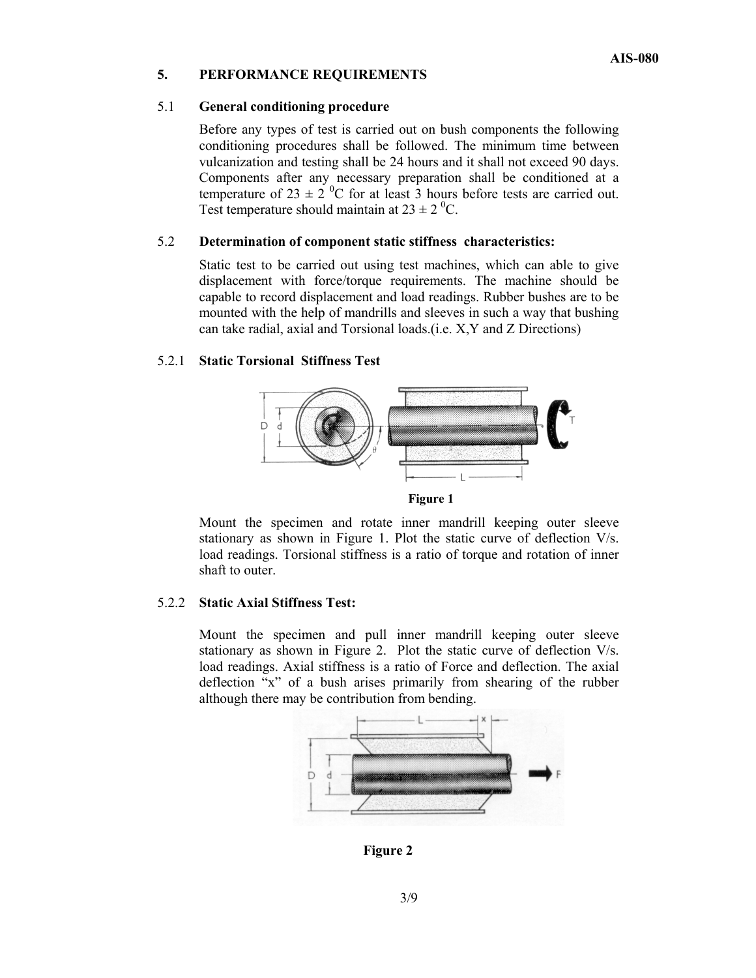# **5. PERFORMANCE REQUIREMENTS**

#### 5.1 **General conditioning procedure**

Before any types of test is carried out on bush components the following conditioning procedures shall be followed. The minimum time between vulcanization and testing shall be 24 hours and it shall not exceed 90 days. Components after any necessary preparation shall be conditioned at a temperature of 23  $\pm$  2<sup>0</sup>C for at least 3 hours before tests are carried out. Test temperature should maintain at  $23 \pm 2$  <sup>0</sup>C.

#### 5.2 **Determination of component static stiffness characteristics:**

Static test to be carried out using test machines, which can able to give displacement with force/torque requirements. The machine should be capable to record displacement and load readings. Rubber bushes are to be mounted with the help of mandrills and sleeves in such a way that bushing can take radial, axial and Torsional loads.(i.e. X,Y and Z Directions)

#### 5.2.1 **Static Torsional Stiffness Test**



Mount the specimen and rotate inner mandrill keeping outer sleeve stationary as shown in Figure 1. Plot the static curve of deflection V/s. load readings. Torsional stiffness is a ratio of torque and rotation of inner shaft to outer.

#### 5.2.2 **Static Axial Stiffness Test:**

Mount the specimen and pull inner mandrill keeping outer sleeve stationary as shown in Figure 2. Plot the static curve of deflection V/s. load readings. Axial stiffness is a ratio of Force and deflection. The axial deflection "x" of a bush arises primarily from shearing of the rubber although there may be contribution from bending.



**Figure 2**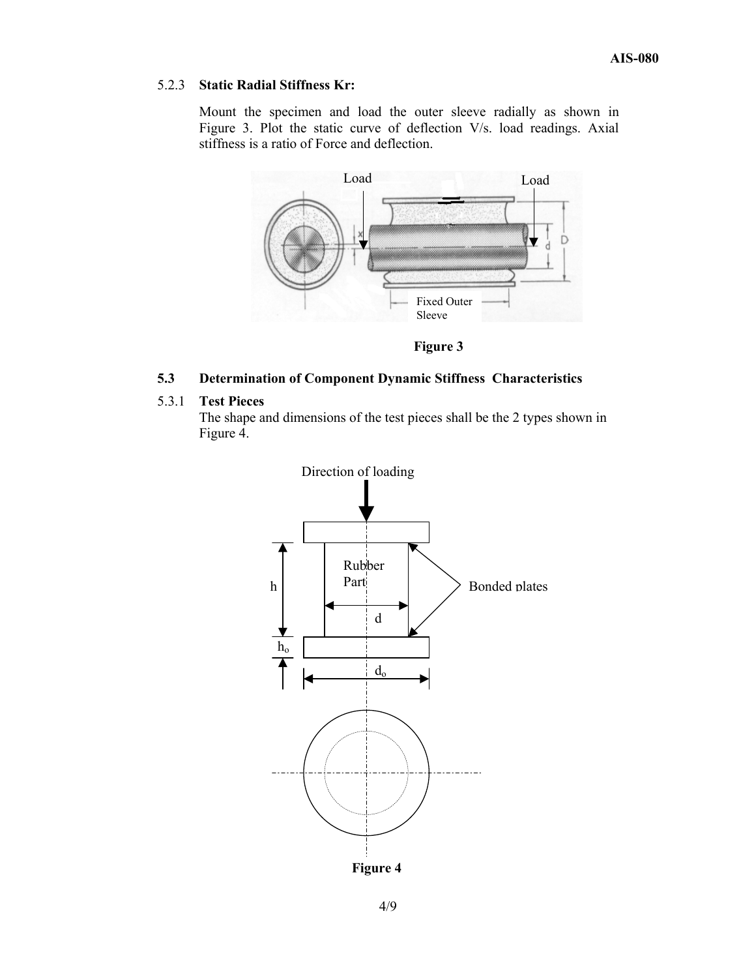# 5.2.3 **Static Radial Stiffness Kr:**

Mount the specimen and load the outer sleeve radially as shown in Figure 3. Plot the static curve of deflection V/s. load readings. Axial stiffness is a ratio of Force and deflection.



 **Figure 3** 

# **5.3 Determination of Component Dynamic Stiffness Characteristics**

# 5.3.1 **Test Pieces**

The shape and dimensions of the test pieces shall be the 2 types shown in Figure 4.

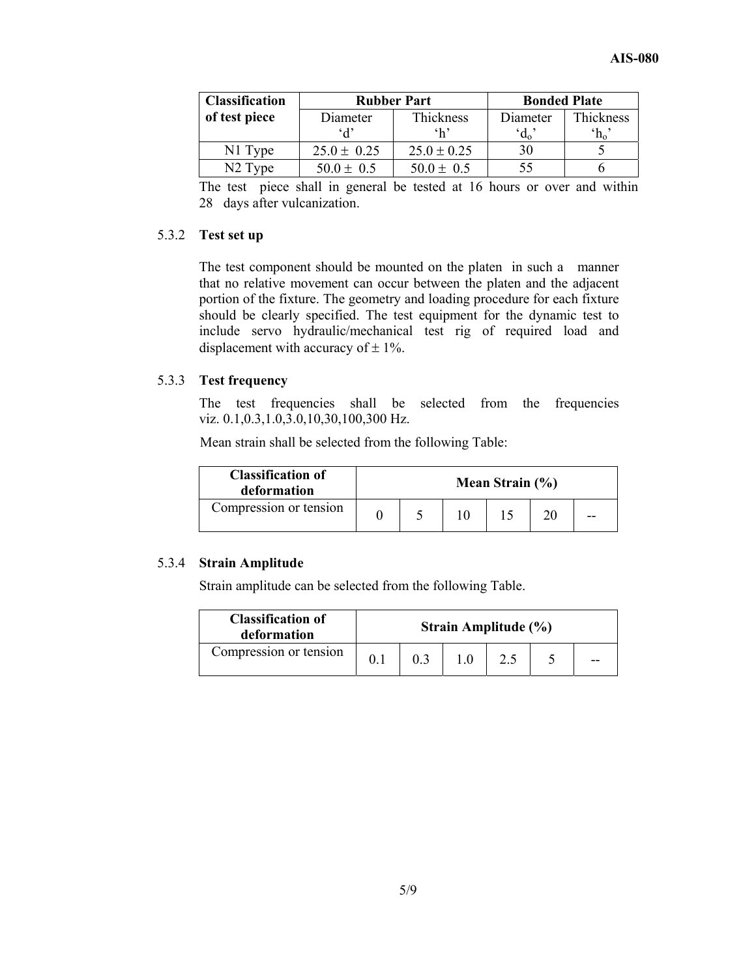| <b>Classification</b> |                 | <b>Rubber Part</b> | <b>Bonded Plate</b> |                  |  |
|-----------------------|-----------------|--------------------|---------------------|------------------|--|
| of test piece         | Diameter        | Thickness          | Diameter            | Thickness        |  |
|                       | A               | $\mathbf{h}$       | $d_{\rm o}$         | $\mathrm{^4h_o}$ |  |
| N1 Type               | $25.0 \pm 0.25$ | $25.0 \pm 0.25$    | 30                  |                  |  |
| N <sub>2</sub> Type   | $50.0 \pm 0.5$  | $50.0 \pm 0.5$     | 55                  |                  |  |

The test piece shall in general be tested at 16 hours or over and within 28 days after vulcanization.

# 5.3.2 **Test set up**

The test component should be mounted on the platen in such a manner that no relative movement can occur between the platen and the adjacent portion of the fixture. The geometry and loading procedure for each fixture should be clearly specified. The test equipment for the dynamic test to include servo hydraulic/mechanical test rig of required load and displacement with accuracy of  $\pm$  1%.

# 5.3.3 **Test frequency**

The test frequencies shall be selected from the frequencies viz. 0.1,0.3,1.0,3.0,10,30,100,300 Hz.

Mean strain shall be selected from the following Table:

| <b>Classification of</b><br>deformation | Mean Strain $(\% )$ |  |  |  |    |
|-----------------------------------------|---------------------|--|--|--|----|
| Compression or tension                  |                     |  |  |  | -- |

#### 5.3.4 **Strain Amplitude**

Strain amplitude can be selected from the following Table.

| <b>Classification of</b><br>deformation | Strain Amplitude (%) |  |  |  |  |    |
|-----------------------------------------|----------------------|--|--|--|--|----|
| Compression or tension                  |                      |  |  |  |  | -- |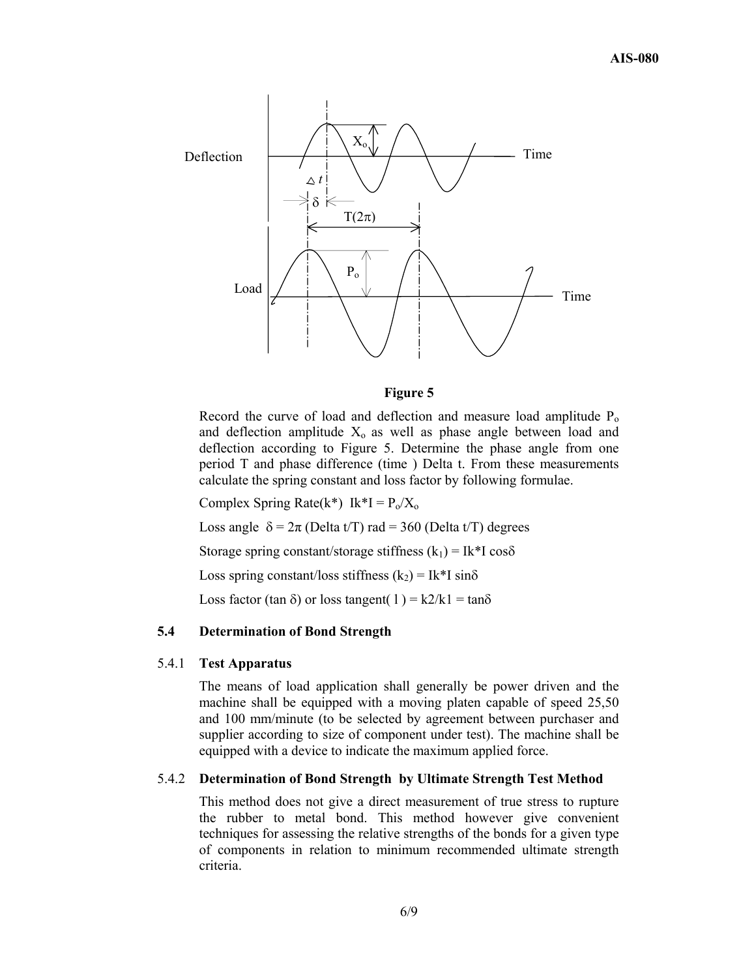

#### **Figure 5**

Record the curve of load and deflection and measure load amplitude  $P_0$ and deflection amplitude  $X_0$  as well as phase angle between load and deflection according to Figure 5. Determine the phase angle from one period T and phase difference (time ) Delta t. From these measurements calculate the spring constant and loss factor by following formulae.

Complex Spring Rate(k\*) Ik\*I =  $P_0/X_0$ 

Loss angle  $\delta = 2\pi$  (Delta t/T) rad = 360 (Delta t/T) degrees

Storage spring constant/storage stiffness  $(k_1) = Ik*I \cos\delta$ 

Loss spring constant/loss stiffness  $(k_2) = Ik*I \sin\delta$ 

Loss factor (tan  $\delta$ ) or loss tangent( 1) = k2/k1 = tan $\delta$ 

# **5.4 Determination of Bond Strength**

#### 5.4.1 **Test Apparatus**

The means of load application shall generally be power driven and the machine shall be equipped with a moving platen capable of speed 25,50 and 100 mm/minute (to be selected by agreement between purchaser and supplier according to size of component under test). The machine shall be equipped with a device to indicate the maximum applied force.

#### 5.4.2 **Determination of Bond Strength by Ultimate Strength Test Method**

This method does not give a direct measurement of true stress to rupture the rubber to metal bond. This method however give convenient techniques for assessing the relative strengths of the bonds for a given type of components in relation to minimum recommended ultimate strength criteria.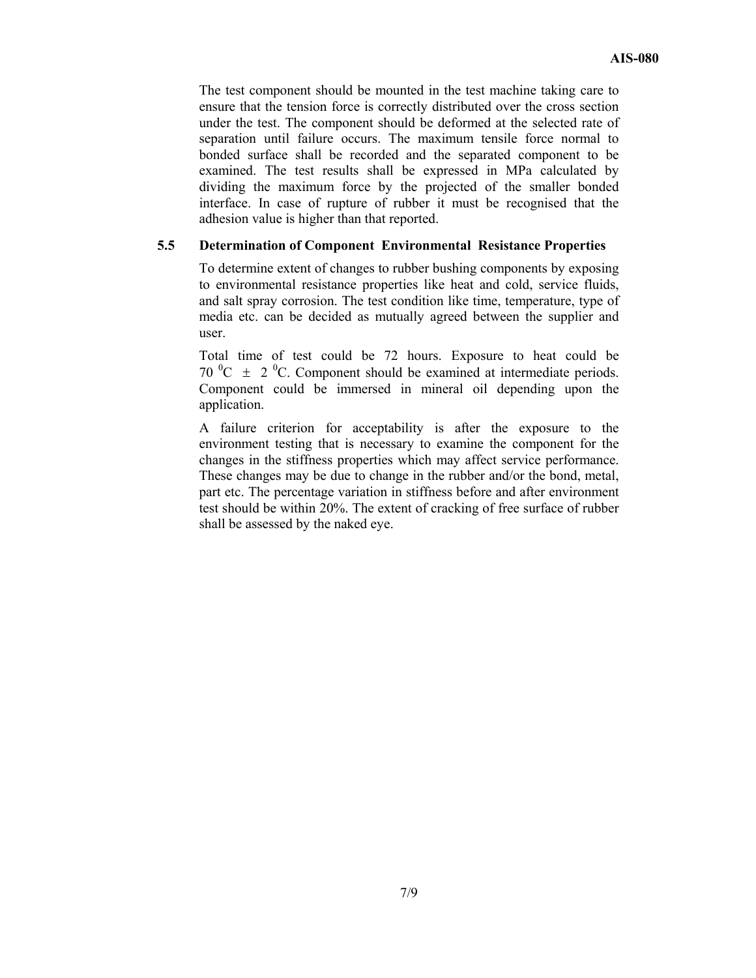The test component should be mounted in the test machine taking care to ensure that the tension force is correctly distributed over the cross section under the test. The component should be deformed at the selected rate of separation until failure occurs. The maximum tensile force normal to bonded surface shall be recorded and the separated component to be examined. The test results shall be expressed in MPa calculated by dividing the maximum force by the projected of the smaller bonded interface. In case of rupture of rubber it must be recognised that the adhesion value is higher than that reported.

# **5.5 Determination of Component Environmental Resistance Properties**

To determine extent of changes to rubber bushing components by exposing to environmental resistance properties like heat and cold, service fluids, and salt spray corrosion. The test condition like time, temperature, type of media etc. can be decided as mutually agreed between the supplier and user.

Total time of test could be 72 hours. Exposure to heat could be 70  $^{\circ}$ C  $\pm$  2  $^{\circ}$ C. Component should be examined at intermediate periods. Component could be immersed in mineral oil depending upon the application.

A failure criterion for acceptability is after the exposure to the environment testing that is necessary to examine the component for the changes in the stiffness properties which may affect service performance. These changes may be due to change in the rubber and/or the bond, metal, part etc. The percentage variation in stiffness before and after environment test should be within 20%. The extent of cracking of free surface of rubber shall be assessed by the naked eye.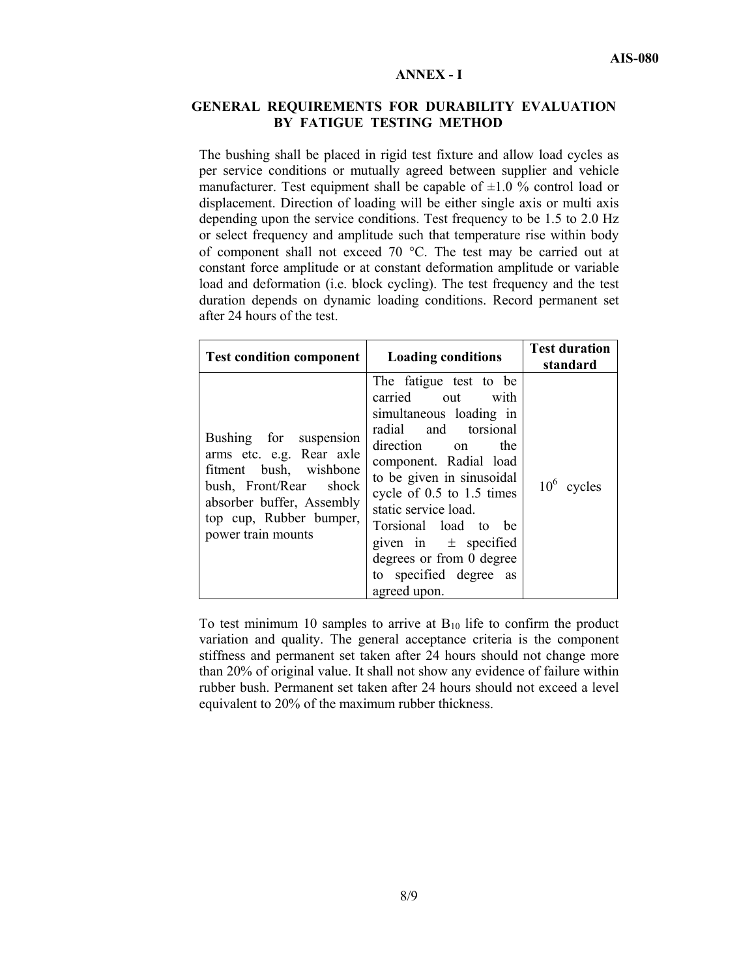#### **ANNEX - I**

#### **GENERAL REQUIREMENTS FOR DURABILITY EVALUATION BY FATIGUE TESTING METHOD**

The bushing shall be placed in rigid test fixture and allow load cycles as per service conditions or mutually agreed between supplier and vehicle manufacturer. Test equipment shall be capable of  $\pm 1.0$  % control load or displacement. Direction of loading will be either single axis or multi axis depending upon the service conditions. Test frequency to be 1.5 to 2.0 Hz or select frequency and amplitude such that temperature rise within body of component shall not exceed 70 °C. The test may be carried out at constant force amplitude or at constant deformation amplitude or variable load and deformation (i.e. block cycling). The test frequency and the test duration depends on dynamic loading conditions. Record permanent set after 24 hours of the test.

| <b>Test condition component</b>                                                                                                                                                      | <b>Loading conditions</b>                                                                                                                                                                                                                                                                                                                                  | <b>Test duration</b><br>standard |
|--------------------------------------------------------------------------------------------------------------------------------------------------------------------------------------|------------------------------------------------------------------------------------------------------------------------------------------------------------------------------------------------------------------------------------------------------------------------------------------------------------------------------------------------------------|----------------------------------|
| Bushing for suspension<br>arms etc. e.g. Rear axle<br>fitment bush, wishbone<br>bush, Front/Rear shock<br>absorber buffer, Assembly<br>top cup, Rubber bumper,<br>power train mounts | The fatigue test to be<br>carried out with<br>simultaneous loading in<br>radial and torsional<br>direction on<br>the<br>component. Radial load<br>to be given in sinusoidal<br>cycle of 0.5 to 1.5 times<br>static service load.<br>Torsional load to be<br>given in $\pm$ specified<br>degrees or from 0 degree<br>to specified degree as<br>agreed upon. | $10^6$ cycles                    |

To test minimum 10 samples to arrive at  $B_{10}$  life to confirm the product variation and quality. The general acceptance criteria is the component stiffness and permanent set taken after 24 hours should not change more than 20% of original value. It shall not show any evidence of failure within rubber bush. Permanent set taken after 24 hours should not exceed a level equivalent to 20% of the maximum rubber thickness.